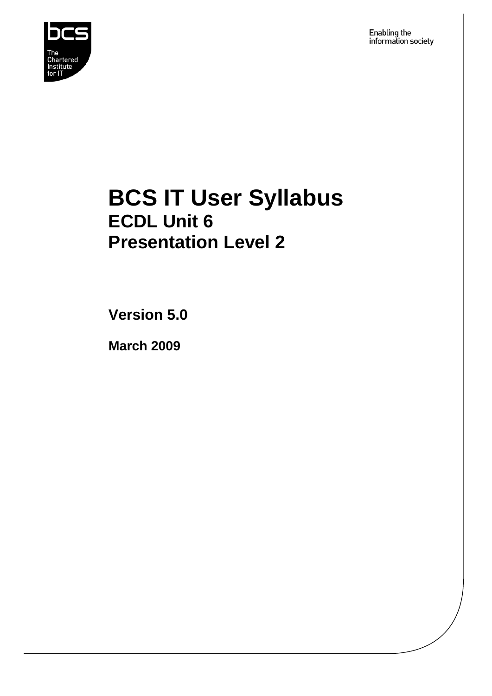

Enabling the<br>information society

## **BCS IT User Syllabus ECDL Unit 6 Presentation Level 2**

**Version 5.0** 

**March 2009**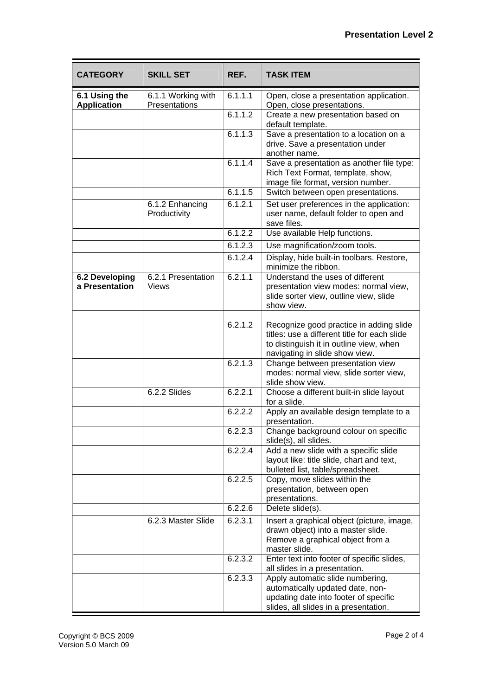| <b>CATEGORY</b>                     | <b>SKILL SET</b>                    | REF.    | <b>TASK ITEM</b>                                                                                                                                                     |
|-------------------------------------|-------------------------------------|---------|----------------------------------------------------------------------------------------------------------------------------------------------------------------------|
| 6.1 Using the<br><b>Application</b> | 6.1.1 Working with<br>Presentations | 6.1.1.1 | Open, close a presentation application.<br>Open, close presentations.                                                                                                |
|                                     |                                     | 6.1.1.2 | Create a new presentation based on<br>default template.                                                                                                              |
|                                     |                                     | 6.1.1.3 | Save a presentation to a location on a<br>drive. Save a presentation under<br>another name.                                                                          |
|                                     |                                     | 6.1.1.4 | Save a presentation as another file type:<br>Rich Text Format, template, show,<br>image file format, version number.                                                 |
|                                     |                                     | 6.1.1.5 | Switch between open presentations.                                                                                                                                   |
|                                     | 6.1.2 Enhancing<br>Productivity     | 6.1.2.1 | Set user preferences in the application:<br>user name, default folder to open and<br>save files.                                                                     |
|                                     |                                     | 6.1.2.2 | Use available Help functions.                                                                                                                                        |
|                                     |                                     | 6.1.2.3 | Use magnification/zoom tools.                                                                                                                                        |
|                                     |                                     | 6.1.2.4 | Display, hide built-in toolbars. Restore,<br>minimize the ribbon.                                                                                                    |
| 6.2 Developing<br>a Presentation    | 6.2.1 Presentation<br><b>Views</b>  | 6.2.1.1 | Understand the uses of different<br>presentation view modes: normal view,<br>slide sorter view, outline view, slide<br>show view.                                    |
|                                     |                                     | 6.2.1.2 | Recognize good practice in adding slide<br>titles: use a different title for each slide<br>to distinguish it in outline view, when<br>navigating in slide show view. |
|                                     |                                     | 6.2.1.3 | Change between presentation view<br>modes: normal view, slide sorter view,<br>slide show view.                                                                       |
|                                     | 6.2.2 Slides                        | 6.2.2.1 | Choose a different built-in slide layout<br>for a slide.                                                                                                             |
|                                     |                                     | 6.2.2.2 | Apply an available design template to a<br>presentation.                                                                                                             |
|                                     |                                     | 6.2.2.3 | Change background colour on specific<br>slide(s), all slides.                                                                                                        |
|                                     |                                     | 6.2.2.4 | Add a new slide with a specific slide<br>layout like: title slide, chart and text,<br>bulleted list, table/spreadsheet.                                              |
|                                     |                                     | 6.2.2.5 | Copy, move slides within the<br>presentation, between open<br>presentations.                                                                                         |
|                                     |                                     | 6.2.2.6 | Delete slide(s).                                                                                                                                                     |
|                                     | 6.2.3 Master Slide                  | 6.2.3.1 | Insert a graphical object (picture, image,<br>drawn object) into a master slide.<br>Remove a graphical object from a<br>master slide.                                |
|                                     |                                     | 6.2.3.2 | Enter text into footer of specific slides,<br>all slides in a presentation.                                                                                          |
|                                     |                                     | 6.2.3.3 | Apply automatic slide numbering,<br>automatically updated date, non-<br>updating date into footer of specific<br>slides, all slides in a presentation.               |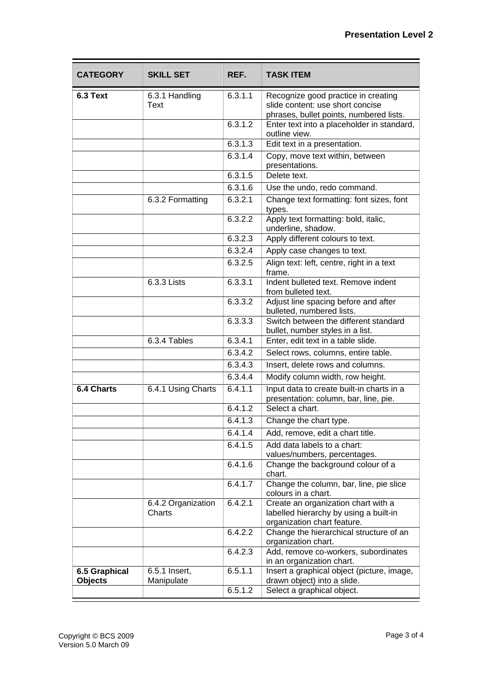| <b>CATEGORY</b> | <b>SKILL SET</b>              | REF.    | <b>TASK ITEM</b>                                                                                                   |
|-----------------|-------------------------------|---------|--------------------------------------------------------------------------------------------------------------------|
| 6.3 Text        | 6.3.1 Handling<br><b>Text</b> | 6.3.1.1 | Recognize good practice in creating<br>slide content: use short concise<br>phrases, bullet points, numbered lists. |
|                 |                               | 6.3.1.2 | Enter text into a placeholder in standard,<br>outline view.                                                        |
|                 |                               | 6.3.1.3 | Edit text in a presentation.                                                                                       |
|                 |                               | 6.3.1.4 | Copy, move text within, between<br>presentations.                                                                  |
|                 |                               | 6.3.1.5 | Delete text.                                                                                                       |
|                 |                               | 6.3.1.6 | Use the undo, redo command.                                                                                        |
|                 | 6.3.2 Formatting              | 6.3.2.1 | Change text formatting: font sizes, font<br>types.                                                                 |
|                 |                               | 6.3.2.2 | Apply text formatting: bold, italic,<br>underline, shadow.                                                         |
|                 |                               | 6.3.2.3 | Apply different colours to text.                                                                                   |
|                 |                               | 6.3.2.4 | Apply case changes to text.                                                                                        |
|                 |                               | 6.3.2.5 | Align text: left, centre, right in a text<br>frame.                                                                |
|                 | 6.3.3 Lists                   | 6.3.3.1 | Indent bulleted text. Remove indent<br>from bulleted text.                                                         |
|                 |                               | 6.3.3.2 | Adjust line spacing before and after<br>bulleted, numbered lists.                                                  |
|                 |                               | 6.3.3.3 | Switch between the different standard<br>bullet, number styles in a list.                                          |
|                 | 6.3.4 Tables                  | 6.3.4.1 | Enter, edit text in a table slide.                                                                                 |
|                 |                               | 6.3.4.2 | Select rows, columns, entire table.                                                                                |
|                 |                               | 6.3.4.3 | Insert, delete rows and columns.                                                                                   |
|                 |                               | 6.3.4.4 | Modify column width, row height.                                                                                   |
| 6.4 Charts      | 6.4.1 Using Charts            | 6.4.1.1 | Input data to create built-in charts in a<br>presentation: column, bar, line, pie.                                 |
|                 |                               | 6.4.1.2 | Select a chart.                                                                                                    |
|                 |                               | 6.4.1.3 | Change the chart type.                                                                                             |
|                 |                               | 6.4.1.4 | Add, remove, edit a chart title.                                                                                   |
|                 |                               | 6.4.1.5 | Add data labels to a chart:<br>values/numbers, percentages.                                                        |
|                 |                               | 6.4.1.6 | Change the background colour of a<br>chart.                                                                        |
|                 |                               | 6.4.1.7 | Change the column, bar, line, pie slice<br>colours in a chart.                                                     |
|                 | 6.4.2 Organization<br>Charts  | 6.4.2.1 | Create an organization chart with a<br>labelled hierarchy by using a built-in<br>organization chart feature.       |
|                 |                               | 6.4.2.2 | Change the hierarchical structure of an<br>organization chart.                                                     |
|                 |                               | 6.4.2.3 | Add, remove co-workers, subordinates                                                                               |
| 6.5 Graphical   | 6.5.1 Insert,                 | 6.5.1.1 | in an organization chart.<br>Insert a graphical object (picture, image,                                            |
| <b>Objects</b>  | Manipulate                    | 6.5.1.2 | drawn object) into a slide.                                                                                        |
|                 |                               |         | Select a graphical object.                                                                                         |